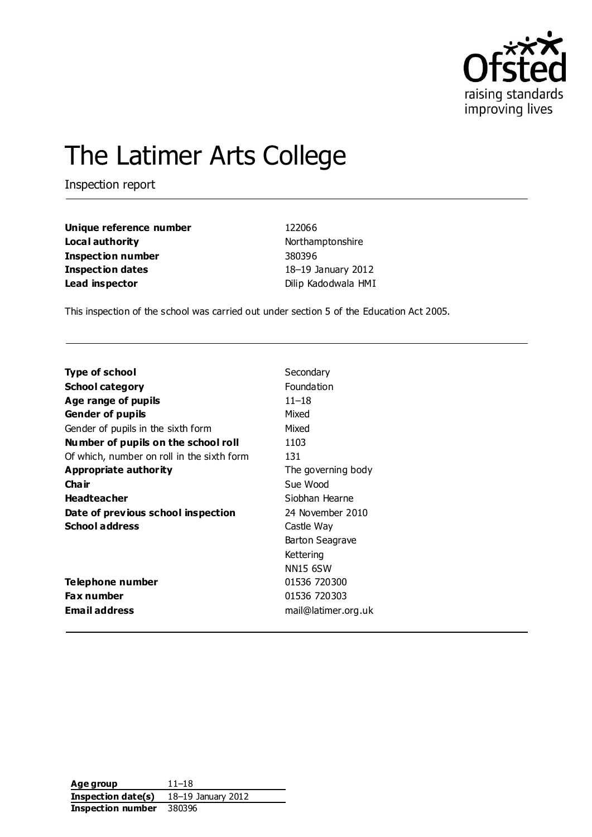

# The Latimer Arts College

Inspection report

| Unique reference number  | 122066              |  |
|--------------------------|---------------------|--|
| Local authority          | Northamptonshire    |  |
| <b>Inspection number</b> | 380396              |  |
| Inspection dates         | 18-19 January 2012  |  |
| Lead inspector           | Dilip Kadodwala HMI |  |

This inspection of the school was carried out under section 5 of the Education Act 2005.

| Type of school                             | Secondary              |
|--------------------------------------------|------------------------|
| <b>School category</b>                     | Foundation             |
| Age range of pupils                        | $11 - 18$              |
| <b>Gender of pupils</b>                    | Mixed                  |
| Gender of pupils in the sixth form         | Mixed                  |
| Number of pupils on the school roll        | 1103                   |
| Of which, number on roll in the sixth form | 131                    |
| Appropriate authority                      | The governing body     |
| Cha ir                                     | Sue Wood               |
| <b>Headteacher</b>                         | Siobhan Hearne         |
| Date of previous school inspection         | 24 November 2010       |
| <b>School address</b>                      | Castle Way             |
|                                            | <b>Barton Seagrave</b> |
|                                            | Kettering              |
|                                            | <b>NN15 6SW</b>        |
| Telephone number                           | 01536 720300           |
| Fax number                                 | 01536 720303           |
| <b>Email address</b>                       | mail@latimer.org.uk    |

| Age group          | $11 - 18$          |
|--------------------|--------------------|
| Inspection date(s) | 18-19 January 2012 |
| Inspection number  | 380396             |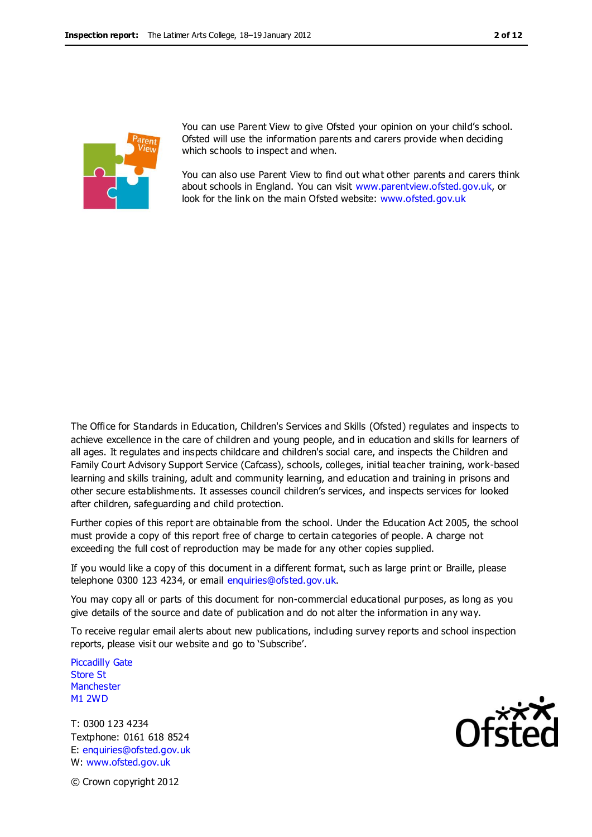

You can use Parent View to give Ofsted your opinion on your child's school. Ofsted will use the information parents and carers provide when deciding which schools to inspect and when.

You can also use Parent View to find out what other parents and carers think about schools in England. You can visit [www.parentview.ofsted.gov.uk,](http://www.parentview.ofsted.gov.uk/) or look for the link on the main Ofsted website: [www.ofsted.gov.uk](http://www.ofsted.gov.uk/)

The Office for Standards in Education, Children's Services and Skills (Ofsted) regulates and inspects to achieve excellence in the care of children and young people, and in education and skills for learners of all ages. It regulates and inspects childcare and children's social care, and inspects the Children and Family Court Advisory Support Service (Cafcass), schools, colleges, initial teacher training, work-based learning and skills training, adult and community learning, and education and training in prisons and other secure establishments. It assesses council children's services, and inspects services for looked after children, safeguarding and child protection.

Further copies of this report are obtainable from the school. Under the Education Act 2005, the school must provide a copy of this report free of charge to certain categories of people. A charge not exceeding the full cost of reproduction may be made for any other copies supplied.

If you would like a copy of this document in a different format, such as large print or Braille, please telephone 0300 123 4234, or email enquiries@ofsted.gov.uk.

You may copy all or parts of this document for non-commercial educational purposes, as long as you give details of the source and date of publication and do not alter the information in any way.

To receive regular email alerts about new publications, including survey reports and school inspection reports, please visit our website and go to 'Subscribe'.

Piccadilly Gate Store St **Manchester** M1 2WD

T: 0300 123 4234 Textphone: 0161 618 8524 E: enquiries@ofsted.gov.uk W: www.ofsted.gov.uk



© Crown copyright 2012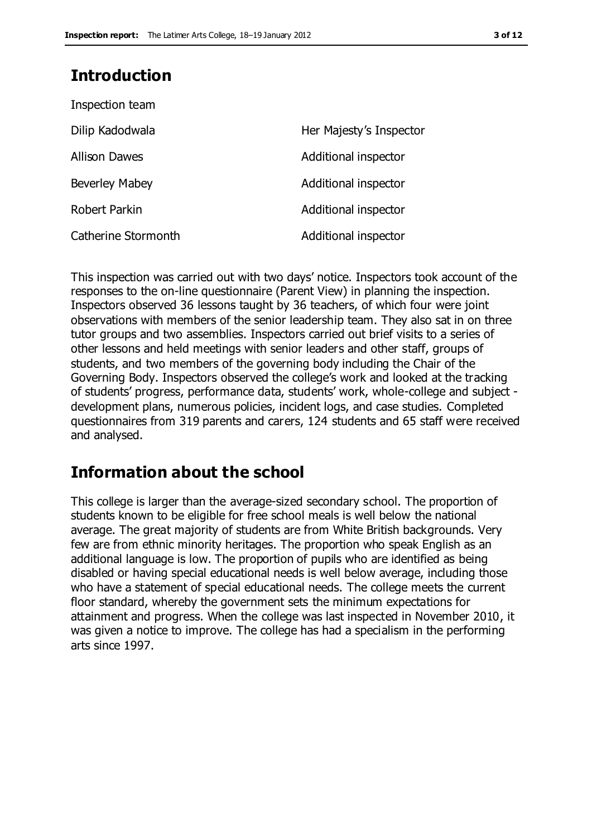# **Introduction**

| Inspection team       |                         |
|-----------------------|-------------------------|
| Dilip Kadodwala       | Her Majesty's Inspector |
| <b>Allison Dawes</b>  | Additional inspector    |
| <b>Beverley Mabey</b> | Additional inspector    |
| Robert Parkin         | Additional inspector    |
| Catherine Stormonth   | Additional inspector    |

This inspection was carried out with two days' notice. Inspectors took account of the responses to the on-line questionnaire (Parent View) in planning the inspection. Inspectors observed 36 lessons taught by 36 teachers, of which four were joint observations with members of the senior leadership team. They also sat in on three tutor groups and two assemblies. Inspectors carried out brief visits to a series of other lessons and held meetings with senior leaders and other staff, groups of students, and two members of the governing body including the Chair of the Governing Body. Inspectors observed the college's work and looked at the tracking of students' progress, performance data, students' work, whole-college and subject development plans, numerous policies, incident logs, and case studies. Completed questionnaires from 319 parents and carers, 124 students and 65 staff were received and analysed.

# **Information about the school**

This college is larger than the average-sized secondary school. The proportion of students known to be eligible for free school meals is well below the national average. The great majority of students are from White British backgrounds. Very few are from ethnic minority heritages. The proportion who speak English as an additional language is low. The proportion of pupils who are identified as being disabled or having special educational needs is well below average, including those who have a statement of special educational needs. The college meets the current floor standard, whereby the government sets the minimum expectations for attainment and progress. When the college was last inspected in November 2010, it was given a notice to improve. The college has had a specialism in the performing arts since 1997.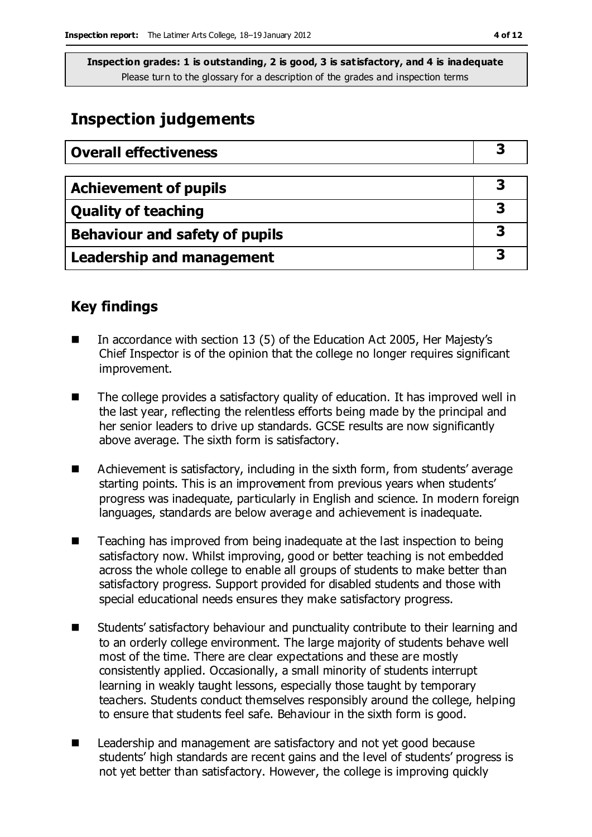# **Inspection judgements**

| <b>Overall effectiveness</b>     |  |
|----------------------------------|--|
|                                  |  |
| <b>Achievement of pupils</b>     |  |
| <b>Quality of teaching</b>       |  |
| Behaviour and safety of pupils   |  |
| <b>Leadership and management</b> |  |

# **Key findings**

- In accordance with section 13 (5) of the Education Act 2005, Her Majesty's Chief Inspector is of the opinion that the college no longer requires significant improvement.
- $\blacksquare$  The college provides a satisfactory quality of education. It has improved well in the last year, reflecting the relentless efforts being made by the principal and her senior leaders to drive up standards. GCSE results are now significantly above average. The sixth form is satisfactory.
- Achievement is satisfactory, including in the sixth form, from students' average starting points. This is an improvement from previous years when students' progress was inadequate, particularly in English and science. In modern foreign languages, standards are below average and achievement is inadequate.
- Teaching has improved from being inadequate at the last inspection to being satisfactory now. Whilst improving, good or better teaching is not embedded across the whole college to enable all groups of students to make better than satisfactory progress. Support provided for disabled students and those with special educational needs ensures they make satisfactory progress.
- Students' satisfactory behaviour and punctuality contribute to their learning and to an orderly college environment. The large majority of students behave well most of the time. There are clear expectations and these are mostly consistently applied. Occasionally, a small minority of students interrupt learning in weakly taught lessons, especially those taught by temporary teachers. Students conduct themselves responsibly around the college, helping to ensure that students feel safe. Behaviour in the sixth form is good.
- Leadership and management are satisfactory and not yet good because students' high standards are recent gains and the level of students' progress is not yet better than satisfactory. However, the college is improving quickly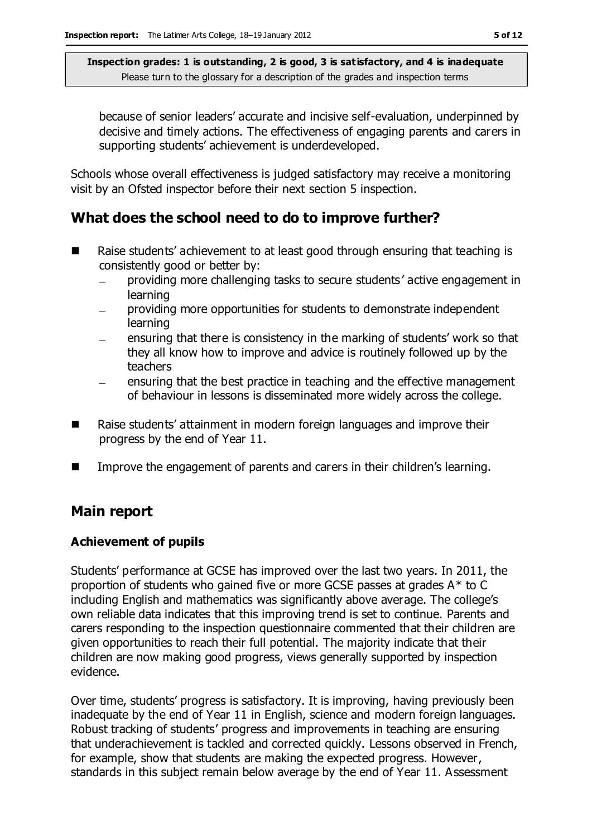because of senior leaders' accurate and incisive self-evaluation, underpinned by decisive and timely actions. The effectiveness of engaging parents and carers in supporting students' achievement is underdeveloped.

Schools whose overall effectiveness is judged satisfactory may receive a monitoring visit by an Ofsted inspector before their next section 5 inspection.

# **What does the school need to do to improve further?**

- Raise students' achievement to at least good through ensuring that teaching is consistently good or better by:
	- providing more challenging tasks to secure students' active engagement in  $\equiv$ learning
	- providing more opportunities for students to demonstrate independent learning
	- ensuring that there is consistency in the marking of students' work so that they all know how to improve and advice is routinely followed up by the teachers
	- ensuring that the best practice in teaching and the effective management  $\overline{\phantom{0}}$ of behaviour in lessons is disseminated more widely across the college.
- Raise students' attainment in modern foreign languages and improve their progress by the end of Year 11.
- **IMPROVE THE ENGEQUE ENGELE** in their children's learning.

# **Main report**

### **Achievement of pupils**

Students' performance at GCSE has improved over the last two years. In 2011, the proportion of students who gained five or more GCSE passes at grades A\* to C including English and mathematics was significantly above average. The college's own reliable data indicates that this improving trend is set to continue. Parents and carers responding to the inspection questionnaire commented that their children are given opportunities to reach their full potential. The majority indicate that their children are now making good progress, views generally supported by inspection evidence.

Over time, students' progress is satisfactory. It is improving, having previously been inadequate by the end of Year 11 in English, science and modern foreign languages. Robust tracking of students' progress and improvements in teaching are ensuring that underachievement is tackled and corrected quickly. Lessons observed in French, for example, show that students are making the expected progress. However, standards in this subject remain below average by the end of Year 11. Assessment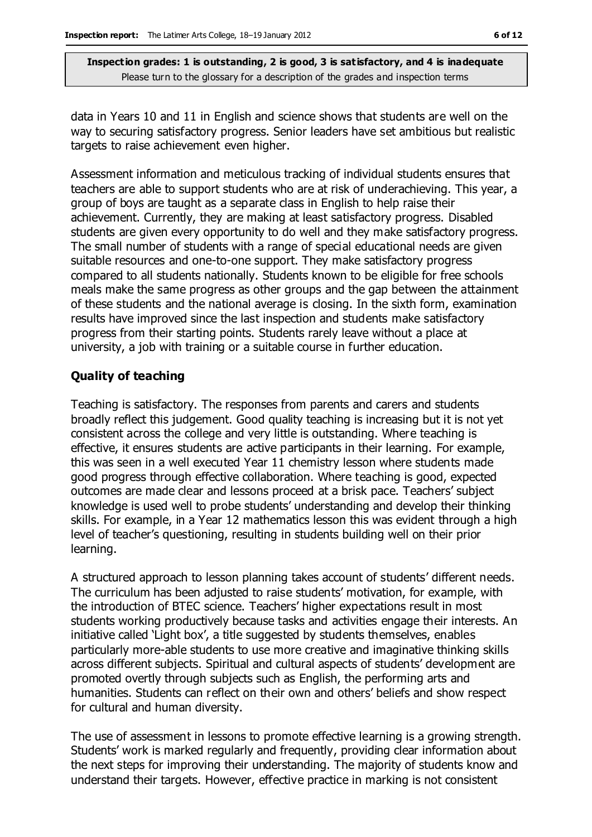data in Years 10 and 11 in English and science shows that students are well on the way to securing satisfactory progress. Senior leaders have set ambitious but realistic targets to raise achievement even higher.

Assessment information and meticulous tracking of individual students ensures that teachers are able to support students who are at risk of underachieving. This year, a group of boys are taught as a separate class in English to help raise their achievement. Currently, they are making at least satisfactory progress. Disabled students are given every opportunity to do well and they make satisfactory progress. The small number of students with a range of special educational needs are given suitable resources and one-to-one support. They make satisfactory progress compared to all students nationally. Students known to be eligible for free schools meals make the same progress as other groups and the gap between the attainment of these students and the national average is closing. In the sixth form, examination results have improved since the last inspection and students make satisfactory progress from their starting points. Students rarely leave without a place at university, a job with training or a suitable course in further education.

### **Quality of teaching**

Teaching is satisfactory. The responses from parents and carers and students broadly reflect this judgement. Good quality teaching is increasing but it is not yet consistent across the college and very little is outstanding. Where teaching is effective, it ensures students are active participants in their learning. For example, this was seen in a well executed Year 11 chemistry lesson where students made good progress through effective collaboration. Where teaching is good, expected outcomes are made clear and lessons proceed at a brisk pace. Teachers' subject knowledge is used well to probe students' understanding and develop their thinking skills. For example, in a Year 12 mathematics lesson this was evident through a high level of teacher's questioning, resulting in students building well on their prior learning.

A structured approach to lesson planning takes account of students' different needs. The curriculum has been adjusted to raise students' motivation, for example, with the introduction of BTEC science. Teachers' higher expectations result in most students working productively because tasks and activities engage their interests. An initiative called 'Light box', a title suggested by students themselves, enables particularly more-able students to use more creative and imaginative thinking skills across different subjects. Spiritual and cultural aspects of students' development are promoted overtly through subjects such as English, the performing arts and humanities. Students can reflect on their own and others' beliefs and show respect for cultural and human diversity.

The use of assessment in lessons to promote effective learning is a growing strength. Students' work is marked regularly and frequently, providing clear information about the next steps for improving their understanding. The majority of students know and understand their targets. However, effective practice in marking is not consistent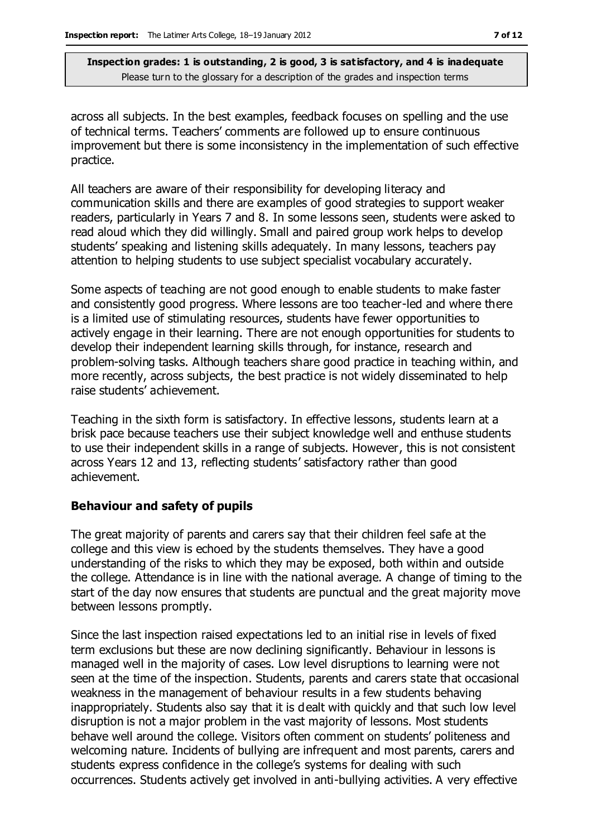across all subjects. In the best examples, feedback focuses on spelling and the use of technical terms. Teachers' comments are followed up to ensure continuous improvement but there is some inconsistency in the implementation of such effective practice.

All teachers are aware of their responsibility for developing literacy and communication skills and there are examples of good strategies to support weaker readers, particularly in Years 7 and 8. In some lessons seen, students were asked to read aloud which they did willingly. Small and paired group work helps to develop students' speaking and listening skills adequately. In many lessons, teachers pay attention to helping students to use subject specialist vocabulary accurately.

Some aspects of teaching are not good enough to enable students to make faster and consistently good progress. Where lessons are too teacher-led and where there is a limited use of stimulating resources, students have fewer opportunities to actively engage in their learning. There are not enough opportunities for students to develop their independent learning skills through, for instance, research and problem-solving tasks. Although teachers share good practice in teaching within, and more recently, across subjects, the best practice is not widely disseminated to help raise students' achievement.

Teaching in the sixth form is satisfactory. In effective lessons, students learn at a brisk pace because teachers use their subject knowledge well and enthuse students to use their independent skills in a range of subjects. However, this is not consistent across Years 12 and 13, reflecting students' satisfactory rather than good achievement.

#### **Behaviour and safety of pupils**

The great majority of parents and carers say that their children feel safe at the college and this view is echoed by the students themselves. They have a good understanding of the risks to which they may be exposed, both within and outside the college. Attendance is in line with the national average. A change of timing to the start of the day now ensures that students are punctual and the great majority move between lessons promptly.

Since the last inspection raised expectations led to an initial rise in levels of fixed term exclusions but these are now declining significantly. Behaviour in lessons is managed well in the majority of cases. Low level disruptions to learning were not seen at the time of the inspection. Students, parents and carers state that occasional weakness in the management of behaviour results in a few students behaving inappropriately. Students also say that it is dealt with quickly and that such low level disruption is not a major problem in the vast majority of lessons. Most students behave well around the college. Visitors often comment on students' politeness and welcoming nature. Incidents of bullying are infrequent and most parents, carers and students express confidence in the college's systems for dealing with such occurrences. Students actively get involved in anti-bullying activities. A very effective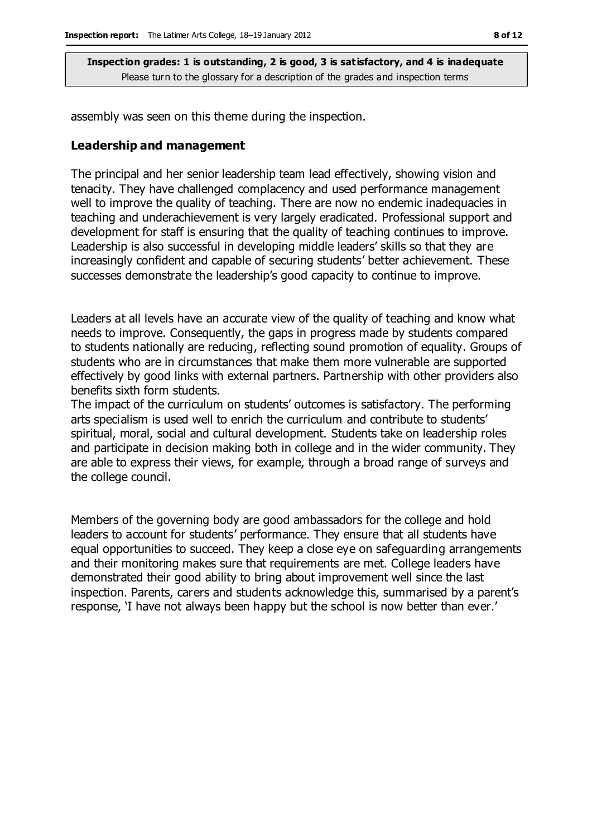assembly was seen on this theme during the inspection.

#### **Leadership and management**

The principal and her senior leadership team lead effectively, showing vision and tenacity. They have challenged complacency and used performance management well to improve the quality of teaching. There are now no endemic inadequacies in teaching and underachievement is very largely eradicated. Professional support and development for staff is ensuring that the quality of teaching continues to improve. Leadership is also successful in developing middle leaders' skills so that they are increasingly confident and capable of securing students' better achievement. These successes demonstrate the leadership's good capacity to continue to improve.

Leaders at all levels have an accurate view of the quality of teaching and know what needs to improve. Consequently, the gaps in progress made by students compared to students nationally are reducing, reflecting sound promotion of equality. Groups of students who are in circumstances that make them more vulnerable are supported effectively by good links with external partners. Partnership with other providers also benefits sixth form students.

The impact of the curriculum on students' outcomes is satisfactory. The performing arts specialism is used well to enrich the curriculum and contribute to students' spiritual, moral, social and cultural development. Students take on leadership roles and participate in decision making both in college and in the wider community. They are able to express their views, for example, through a broad range of surveys and the college council.

Members of the governing body are good ambassadors for the college and hold leaders to account for students' performance. They ensure that all students have equal opportunities to succeed. They keep a close eye on safeguarding arrangements and their monitoring makes sure that requirements are met. College leaders have demonstrated their good ability to bring about improvement well since the last inspection. Parents, carers and students acknowledge this, summarised by a parent's response, 'I have not always been happy but the school is now better than ever.'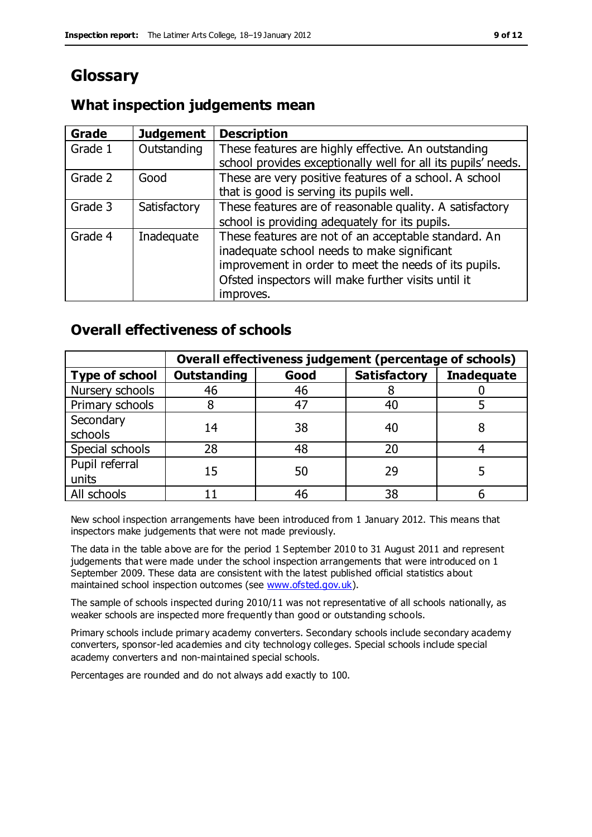# **Glossary**

# **What inspection judgements mean**

| Grade   | <b>Judgement</b> | <b>Description</b>                                            |
|---------|------------------|---------------------------------------------------------------|
| Grade 1 | Outstanding      | These features are highly effective. An outstanding           |
|         |                  | school provides exceptionally well for all its pupils' needs. |
| Grade 2 | Good             | These are very positive features of a school. A school        |
|         |                  | that is good is serving its pupils well.                      |
| Grade 3 | Satisfactory     | These features are of reasonable quality. A satisfactory      |
|         |                  | school is providing adequately for its pupils.                |
| Grade 4 | Inadequate       | These features are not of an acceptable standard. An          |
|         |                  | inadequate school needs to make significant                   |
|         |                  | improvement in order to meet the needs of its pupils.         |
|         |                  | Ofsted inspectors will make further visits until it           |
|         |                  | improves.                                                     |

# **Overall effectiveness of schools**

|                         | Overall effectiveness judgement (percentage of schools) |      |                     |                   |
|-------------------------|---------------------------------------------------------|------|---------------------|-------------------|
| <b>Type of school</b>   | <b>Outstanding</b>                                      | Good | <b>Satisfactory</b> | <b>Inadequate</b> |
| Nursery schools         | 46                                                      | 46   |                     |                   |
| Primary schools         |                                                         | 47   | 40                  |                   |
| Secondary<br>schools    | 14                                                      | 38   | 40                  |                   |
| Special schools         | 28                                                      | 48   | 20                  |                   |
| Pupil referral<br>units | 15                                                      | 50   | 29                  |                   |
| All schools             |                                                         | 46   | 38                  |                   |

New school inspection arrangements have been introduced from 1 January 2012. This means that inspectors make judgements that were not made previously.

The data in the table above are for the period 1 September 2010 to 31 August 2011 and represent judgements that were made under the school inspection arrangements that were introduced on 1 September 2009. These data are consistent with the latest published official statistics about maintained school inspection outcomes (see [www.ofsted.gov.uk\)](http://www.ofsted.gov.uk/).

The sample of schools inspected during 2010/11 was not representative of all schools nationally, as weaker schools are inspected more frequently than good or outstanding schools.

Primary schools include primary academy converters. Secondary schools include secondary academy converters, sponsor-led academies and city technology colleges. Special schools include special academy converters and non-maintained special schools.

Percentages are rounded and do not always add exactly to 100.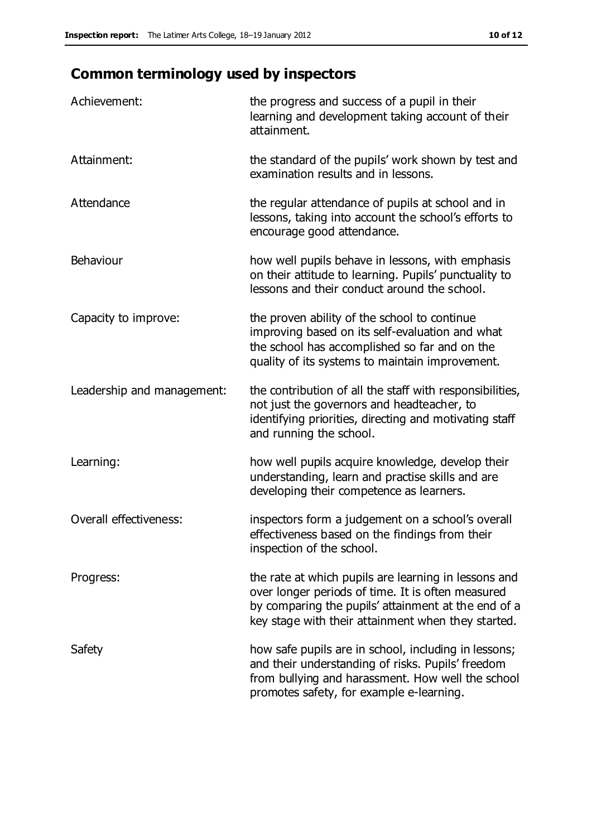# **Common terminology used by inspectors**

| Achievement:                  | the progress and success of a pupil in their<br>learning and development taking account of their<br>attainment.                                                                                                        |
|-------------------------------|------------------------------------------------------------------------------------------------------------------------------------------------------------------------------------------------------------------------|
| Attainment:                   | the standard of the pupils' work shown by test and<br>examination results and in lessons.                                                                                                                              |
| Attendance                    | the regular attendance of pupils at school and in<br>lessons, taking into account the school's efforts to<br>encourage good attendance.                                                                                |
| Behaviour                     | how well pupils behave in lessons, with emphasis<br>on their attitude to learning. Pupils' punctuality to<br>lessons and their conduct around the school.                                                              |
| Capacity to improve:          | the proven ability of the school to continue<br>improving based on its self-evaluation and what<br>the school has accomplished so far and on the<br>quality of its systems to maintain improvement.                    |
| Leadership and management:    | the contribution of all the staff with responsibilities,<br>not just the governors and headteacher, to<br>identifying priorities, directing and motivating staff<br>and running the school.                            |
| Learning:                     | how well pupils acquire knowledge, develop their<br>understanding, learn and practise skills and are<br>developing their competence as learners.                                                                       |
| <b>Overall effectiveness:</b> | inspectors form a judgement on a school's overall<br>effectiveness based on the findings from their<br>inspection of the school.                                                                                       |
| Progress:                     | the rate at which pupils are learning in lessons and<br>over longer periods of time. It is often measured<br>by comparing the pupils' attainment at the end of a<br>key stage with their attainment when they started. |
| Safety                        | how safe pupils are in school, including in lessons;<br>and their understanding of risks. Pupils' freedom<br>from bullying and harassment. How well the school<br>promotes safety, for example e-learning.             |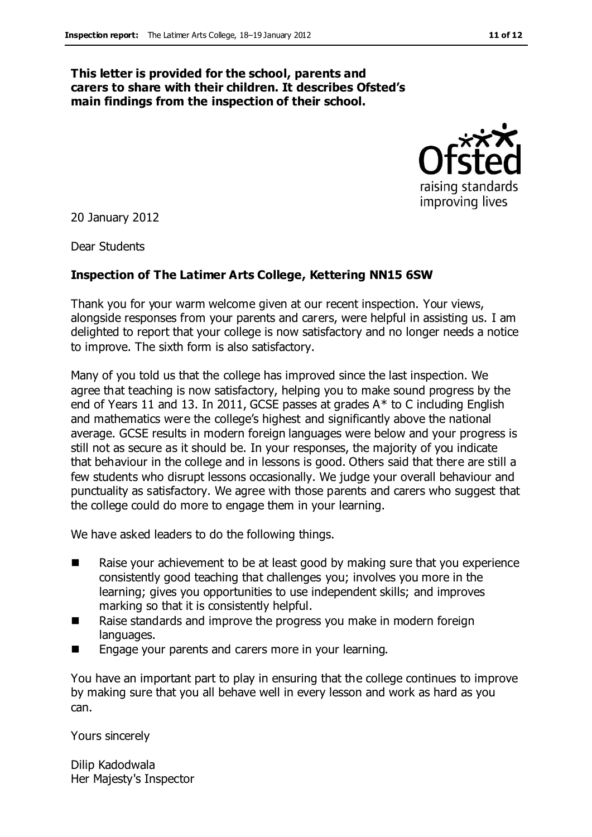#### **This letter is provided for the school, parents and carers to share with their children. It describes Ofsted's main findings from the inspection of their school.**



20 January 2012

Dear Students

#### **Inspection of The Latimer Arts College, Kettering NN15 6SW**

Thank you for your warm welcome given at our recent inspection. Your views, alongside responses from your parents and carers, were helpful in assisting us. I am delighted to report that your college is now satisfactory and no longer needs a notice to improve. The sixth form is also satisfactory.

Many of you told us that the college has improved since the last inspection. We agree that teaching is now satisfactory, helping you to make sound progress by the end of Years 11 and 13. In 2011, GCSE passes at grades A\* to C including English and mathematics were the college's highest and significantly above the national average. GCSE results in modern foreign languages were below and your progress is still not as secure as it should be. In your responses, the majority of you indicate that behaviour in the college and in lessons is good. Others said that there are still a few students who disrupt lessons occasionally. We judge your overall behaviour and punctuality as satisfactory. We agree with those parents and carers who suggest that the college could do more to engage them in your learning.

We have asked leaders to do the following things.

- Raise your achievement to be at least good by making sure that you experience consistently good teaching that challenges you; involves you more in the learning; gives you opportunities to use independent skills; and improves marking so that it is consistently helpful.
- Raise standards and improve the progress you make in modern foreign languages.
- **E** Engage your parents and carers more in your learning.

You have an important part to play in ensuring that the college continues to improve by making sure that you all behave well in every lesson and work as hard as you can.

Yours sincerely

Dilip Kadodwala Her Majesty's Inspector